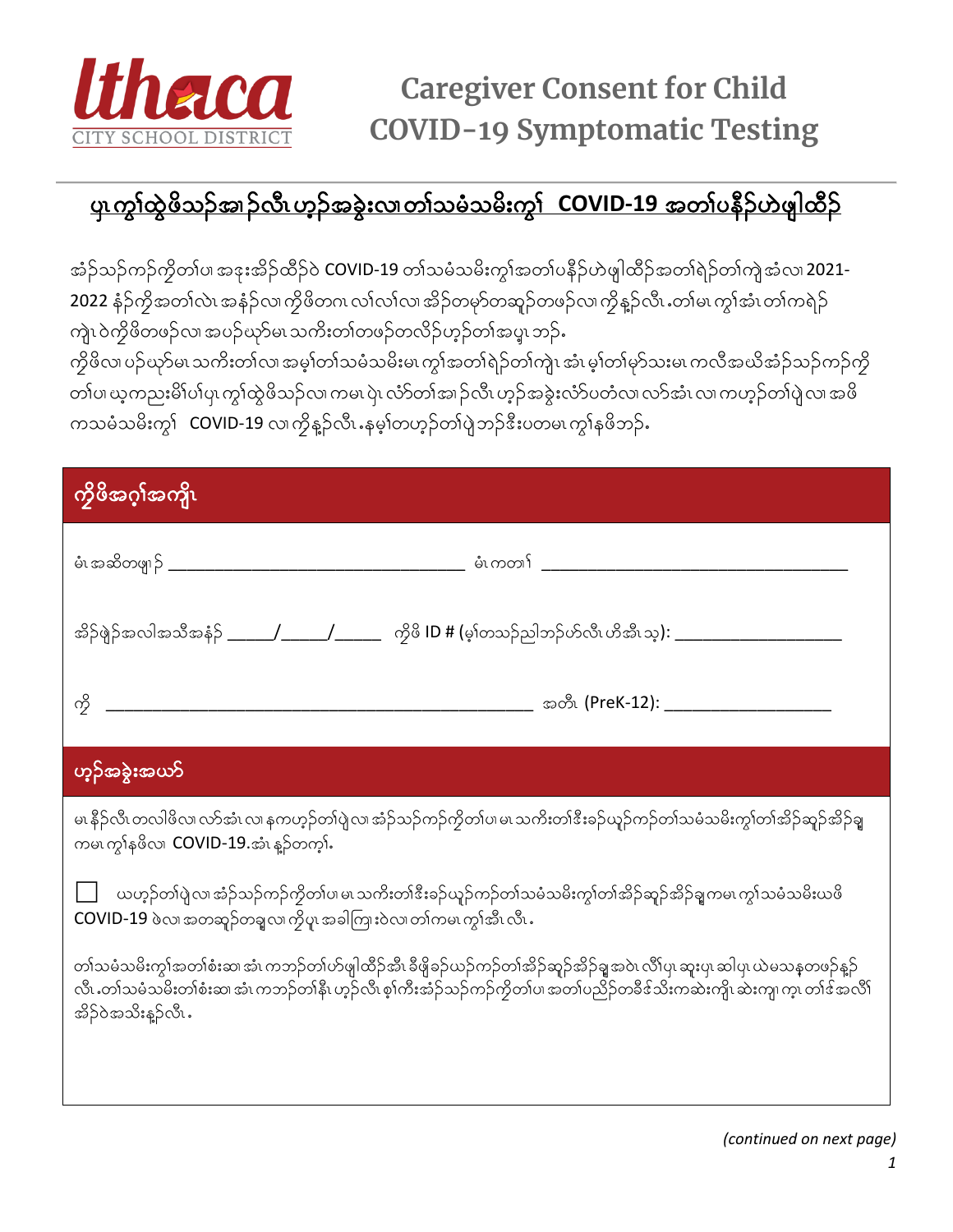

## <u>ပု၊ ကွၢ်ထွဲဖိသဉ်အ၊ဉ်လီ၊ ဟူဉ်အခွဲးလ၊တၢ်သမံသမိးကွ၊် COVID-19 အတၢ်ပနီဉ်ဟဲဖျါထီဉ်</u>

အံဉ်သဉ်ကဉ်ကွိတၤ်ပ၊ အဒုးအိဉ်ထိဉ်ဝဲ COVID-19 တၤ်သမံသမိးကွၤ်အတၤ်ပနိဉ်ဟဲဖျါထိဉ်အတၤ်ရဲဉ်တၤ်ကျဲ့အံလ၊ 2021-2022 နံ့ဉ်ကိုအတၢ်လဲ၊ အနံ့ဉ်လ၊ကိုဖိတဂ၊ လၢ်လ၊်လ၊ အိဉ်တမှာ်တဆူဉ်တဖဉ်လ၊ ကိုန္ ဉ်လီ၊ .တ၊်မ၊ ကွ၊်အံ၊ တ၊်ကရဲဉ် ကျဲၤ ဝဲကိုဖိတဖဉ်လ၊ အပဉ်ယှာ်မၤ သကိႏတၢ်တဖဉ်တလိဉ်ဟုဉ်တၢ်အပူၤ ဘဉ်ႉ

ကိုဖိလ၊ ပဉ်ယှာ်မ၊ သကိႏတၢ်လ၊ အမ့ၢ်တၢ်သမံသမိးမ၊ ကွၢ်အတၢ်ရဲဉ်တၢ်ကျဲ၊ အံ၊ မ့ၢ်တၢ်မုာ်သးမ၊ ကလီအယိအံဉ်သဉ်ကဉ်ကို တၢ်ပ၊ ယ့ကညးမိၢိပါပှ၊ ကွၢ်ထွဲဖိသဉ်လ၊ ကမ၊ ပှဲ၊ လံာ်တၢ်အ၊ ဉ်လီ၊ ဟ့ဉ်အခွဲးလံာ်ပတံလ၊ လာ်အံ၊ လ၊ ကဟ့ဉ်တၢ်ပှဲ လ၊ အဖိ ကသမံသမိးကွ<sup>န</sup> COVID-19 လ၊ကိုန္ဉာ်လီးနမ့္ပါတဟ္ဥတၢ်ပျဲဘဉ်ဒီးပတမ၊ ကွန်စိဘဉ်န

| ကိုဖိအဂ္ဂါအကျိၤ                                                                                                                                                                                                                                                            |  |  |
|----------------------------------------------------------------------------------------------------------------------------------------------------------------------------------------------------------------------------------------------------------------------------|--|--|
|                                                                                                                                                                                                                                                                            |  |  |
| အိဉ်ဖျဲဉ်အလါအသီအနံဉ် ______/______/ ________ ကွိဖိ ID # (မ့ၢ်တသဉ်ညါဘဉ်ဟ်လီၤဟိအီၤသ့): _________________________                                                                                                                                                             |  |  |
| ကို                                                                                                                                                                                                                                                                        |  |  |
| ဟ့ဉ်အခွဲးအယ <b>ာ်</b>                                                                                                                                                                                                                                                      |  |  |
| မၤ နိဉ်လီ၊ တလါဖိလ၊ လာ်အံ၊ လ၊ နကဟ့ဉ်တၢ်ပျဲလ၊ အံဉ်သဉ်ကဉ်ကွိတၢ်ပ၊ မ၊ သကိႏတၢ်ဒီးခဉ်ယူဉ်ကဉ်တၢ်သမံသမိးကွၢ်တၢ်အိဉ်ဆူဉ်အိဉ်ချ<br>ကမၤက္ဂၢ်နဖိလ၊ COVID-19.အံၤန္၁်တက္s်.                                                                                                              |  |  |
| ယဟုဉ်တၢ်ပျဲလ၊ အံဉ်သဉ်ကဉ်ကွိတၢ်ပ၊ မ၊ သကိႏတၢ်ဒီးခဉ်ယူဉ်ကဉ်တၢ်သမံသမိးကွၢ်တၢ်အိဉ်ဆူဉ်အိဉ်ချကမ၊ ကွ၊်သမံသမိးယဖိ<br>COVID-19 ဖဲလ၊ အတဆူဉ်တချလ၊ ကိုပူ၊ အခါကြားဝဲလ၊ တၢ်ကမ၊ ကွၢ်အီ၊ လီ၊ .                                                                                             |  |  |
| တၢ်သမံသမိးကွ၊်အတၢ်စံးဆ၊ အံၤ ကဘဉ်တၢ်ဟ်ဖျါထိဉ်အိၤ ခီဖျိခဉ်ယဉ်ကဉ်တၢ်အိဉ်ဆူဉ်အိဉ်ချအဝဲၤ လိၢ်ပု၊ ဆူးပု၊ ဆါပု၊ ယဲမသန္ဓတဖဉ်န္ဉာ်<br>လိၤႉတၢဴသမံသမိးတၢ်စံးဆ၊ အံၤ ကဘဉ်တၢိနိၤ ဟုဉ်လိၤ စ့ၢ်ကီးအံဉ်သဉ်ကဉ်ကွိတၢ်ပ၊ အတၢ်ပညိဉ်တခိဒ်သိးကဆဲးကျိၤ ဆဲးကျ၊ က့ၤ တၢ်ဒ်အလိၢ်<br>အိ>်ဝဲအသိးန္>်ာလီး |  |  |
|                                                                                                                                                                                                                                                                            |  |  |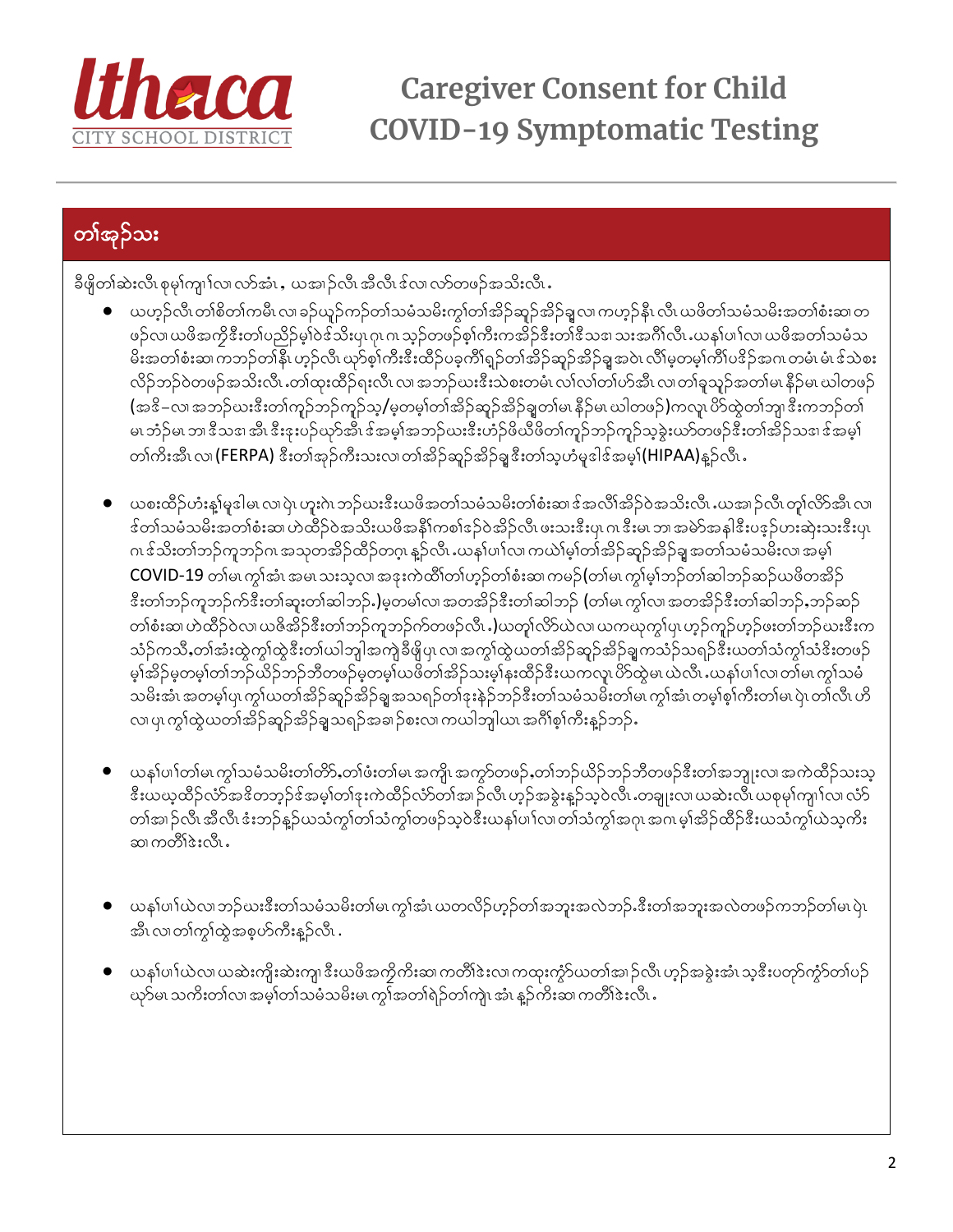

**Caregiver Consent for Child COVID-19 Symptomatic Testing** 

## တၢ်အုဉ်သး

ခီဖိုတၢ်ဆဲးလီ၊ စုမှၢ်ကျ၊်လ၊ လာ်အံ၊ ႇယအ၊ဉ်လီ၊ အီလီ၊ ဒ်လ၊ လာ်တဖဉ်အသိးလီ၊ ႇ

- $\bullet$  ပာဟုဉ်လိ၊ တၢိစိတၢ်ကမိ၊ လ၊ ခဉ်ယူဉ်ကဉ်တၢ်သမံသမိးကွၢ်တၢ်အိဉ်ဆူဉ်အိဉ်ချလ၊ ကဟုဉ်နီ၊ လိ၊ ယဖိတၢ်သမံသမိးအတၢ်စံးဆ၊တ ဖဉ်လ၊ ယဖိအကွိဒီးတၢ်ပညိဉ်မှN်ဒ ်သိးပု၊ ဂု၊ ဂ၊ သ့ဉ်တဖဉ်စ့ၢ်ကီးကအိဉ်ဒီးတ၊်ဒီသဒ၊ သးအင်္ဂါလီ၊ ယန၊်ပၢါလ၊ ယဖိအတၢ်သမံသ မိးအတၢ်စံးဆ၊ ကဘဉ်တ၊်နိၤ ဟှဉ်လိၤ ယှာ်စ့ၢ်ကီးဒီးထိဉ်ပခ့ကိၢရှဉ်တၢ်အိဉ်ဆူဉ်အိဉ်ချအဝဲၤ လိၢ်မ့တမ့ၢ်ကိၢ်ပဒိဉ်အဂၤ တမံၤ မံၤဒ်သဲစး လိဉ်ဘဉ်ဝဲတဖဉ်အသိးလိၤ တၢ်ထုးထိဉ်ရးလိၤလ၊ အဘဉ်ယးဒီးသဲစးတမံၤလၢ်လၢ်တၢ်ဟ်အီၤ လ၊တၢ်ခူသူဉ်အတၢ်မ၊ နိဉ်မ၊ ယါတဖဉ် (အဒိ–လ၊ အဘဉ်ယးဒီးတၢ်ကူဉ်ဘဉ်ကူဉ်သူ/မှတမှၢ်တၢ်အိဉ်ဆူဉ်အိဉ်ချတ၊်မ၊ နိဉ်မ၊ ယါတဖဉ်)ကလူ၊ ပိဉ်ထွဲတၢ်ဘူ၊ ဒီးကဘဉ်တ၊် မ၊ ဘံဉ်မ၊ ဘ၊ ဒီသဒ၊ အီ၊ ဒီးဒုးပဉ်ယှာ်အီ၊ ဒ်အမှ္၊်အဘဉ်ယးဒီးဟံဉ်ဖိယိဖိတ၊်ကူဉ်ဘှဉ်ကူဉ်သူခွဲးယာ်တဖဉ်ဒီးတ၊်အိဉ်သဒ၊ ဒ်အမှ၊် တၢ်ကိႈအီၤလ၊ (FERPA) ဒီးတၢ်အုဉ်ကီးသးလ၊တၢ်အိဉ်ဆူဉ်အိဉ်ချူဒီးတၢ်သူဟံမှုဒါဒ်အမှ၊်(HIPAA)နူဉ်လီၤ .
- ယစးထိဉ်ဟံးနူးမှုဒါမ၊ လ၊ပဲု၊ ဟူးဂဲၤ ဘဉ်ယးဒီးယဖိအတၤ်သမံသမိးတၤ်စံးဆ၊ ဒ်အလိၤ်အိဉ်ဝဲအသိးလီၤ ယအ၊ဉ်လီ၊ တူ၊်လိာ်အီၤ လ၊ ဒ်တၢ်သမံသမိးအတၢ်စံးဆ၊ ဟဲထိဉ်ဝဲအသိးယဖိအနိုၤ်ကစၢ်ဒဉ်ဝဲအိဉ်လီ၊ ဖးသးဒီးပု၊ ဂ၊ ဒီးမ၊ ဘ၊ အမဲာ်အနါဒီးပဒ္ ဉ်ဟးဆုံးသးဒီးပု၊ ဂၢ ဒ်သိးတၢ်ဘဉ်ကူဘဉ်ဂၢ အသုတအိဉ်ထိဉ်တဂူ၊ နူဉ်လီၤႉယန۱်ပၢါလ၊ ကယဲ၊်မှ၊်တၢ်အိဉ်ဆူဉ်အိဉ်ချုအတၢ်သမံသမီးလ၊ အမှါ COVID-19 တါမ၊ ကွါ်အံၤ အမ၊ သးသ့လ၊ အနးကဲထိါတါဟုဉ်တါစံးဆ၊ ကမဉ်(တါမ၊ ကွါမ့ါဘဉ်တါဆါဘဉ်ဆဉ်ယဖိတအိဉ် ဒီးတၢ်ဘဉ်ကူဘဉ်က်ဒီးတ၊်ဆူးတ၊်ဆါဘဉ်.)မ့တမ၊်လ၊ အတအိဉ်ဒီးတ၊်ဆါဘဉ် (တ၊်မ၊ ကွ၊်လ၊ အတအိဉ်ဒီးတ၊်ဆါဘဉ်,ဘဉ်ဆဉ် တၢ်စံးဆ၊ ဟဲထိဉ်ဝဲလ၊ ယဇိအိဉ်ဒီးတၢ်ဘဉ်ကူဘဉ်က်တဖဉ်လီး .)ယတု၊်လိ>်ယဲလ၊ ယကယုကွၢ်ပျ ဟ့ဉ်ကူဉ်ဟ့ဉ်ဖးတ၊်ဘဉ်ဃးဒီးက သံဉ်ကသိႇတၢ်အံးထွဲကွၢ်ထွဲဒီးတ၊်ယါဘူါအကူဲခီဖိုပု၊ လ၊အကွၢ်ထွဲယတၢ်အိဉ်ဆူဉ်အိဉ်ချကသံဉ်သရဉ်ဒီးယတၢ်သံကွၢ်သံဒိးတဖဉ် သမိးအံၤ အတမ့္ပ်ပု၊ ကွၤ်ယတၤ်အိဉ်ဆူဉ်အိဉ်ချ့အသရဉ်တၤ်ဒုးနဲဉ်ဘဉ်ဒီးတၤ်သမံသမိးတၤ်မ၊ ကွၤ်အံၤ တမူၤ်စ္၊်ကိဳးတၤ်မ၊ ပုံ၊ တၤ်လီ၊ ဟိ လ၊ ပု၊ ကွၢ်ထွဲယတၢ်အိဉ်ဆူဉ်အိဉ်ချသရဉ်အခ၊ဉ်စးလ၊ ကယါဘူါယ၊ အင်္ဂါစ့ၢ်ကီးနူဉ်ဘဉ် $\centerdot$
- ယန1်ပၢါတါမ၊ ကွါသမံသမိးတါတိ9်ႇတါဖံးတါမ၊ အကျိ၊ အကွာ်တဖဉ်ႇတါဘဉ်ယိဉ်ဘဉ်ဘိတဖဉ်ဒီးတါအဘျုးလ၊ အကဲထိဉ်သးသု ဒီးယယ္နထိဉ်လံာ်အဒိတဘူဉ်ဒ်အမှၢ်တၢ်ဒုးကဲထိဉ်လံာ်တၢ်အ၊ဉ်လီ၊ ဟူဉ်အခွဲးနူဉ်သူဝဲလီ၊ .တချုးလ၊ယဆဲးလီ၊ ယစုမှၢ်ကျ၊ၤ်လ၊ လံာ တၢ်အ၊ဉ်လီ၊ အီလီ၊ ဒံးဘဉ်န္ဉာ်ယသံကွၢ်တၢ်သံကွၢ်တဖဉ်သူဝဲဒီးယန၊်ပၢါလ၊တၢ်သံကွၢ်အဂု၊ အဂ၊ မ့ၢ်အိဉ်ထိဉ်ဒီးယသံကွ၊်ယဲသူကိႏ ဆ၊ ကတိၢ်ဒဲးလိၤ .
- ယန1်ပၢါယဲလ၊ ဘဉ်ဃးဒီးတၢ်သမံသမိးတၢ်မ၊ ကွၢ်အံ၊ ယတလိဉ်ဟုဉ်တၢ်အဘူးအလဲဘဉ်ႉဒီးတၢ်အဘူးအလဲတဖဉ်ကဘဉ်တၢ်မ၊ ပုံ၊ အီၤ လ၊ တၢ်ကွၢ်ထွဲအစ္စဟ်ကီးန္5်လီၤ .
- ယန1်ပၢါယဲလ၊ ယဆဲးကျိးဆဲးကျ၊ ဒီးယဖိအကွိကိုးဆ၊ ကတိၢ်ဒဲးလ၊ ကထုးကွဲာ်ယတၢ်အ၊ ဉ်လီ၊ ဟူဉ်အခွဲးအံၤ သူဒီးပတုာ်ကွဲာ်တၢ်ပဉ ယှာ်မ၊ သကိႏတၤ်လ၊ အမှ္၊တၤ်သမံသမိးမ၊ ကွၤ်အတၤ်ရဲဉ်တၤ်ကျဲၤ အံၤ န္ဉာ်ကိႏဆ၊ ကတိၢ်ဒဲႏလိၤ .